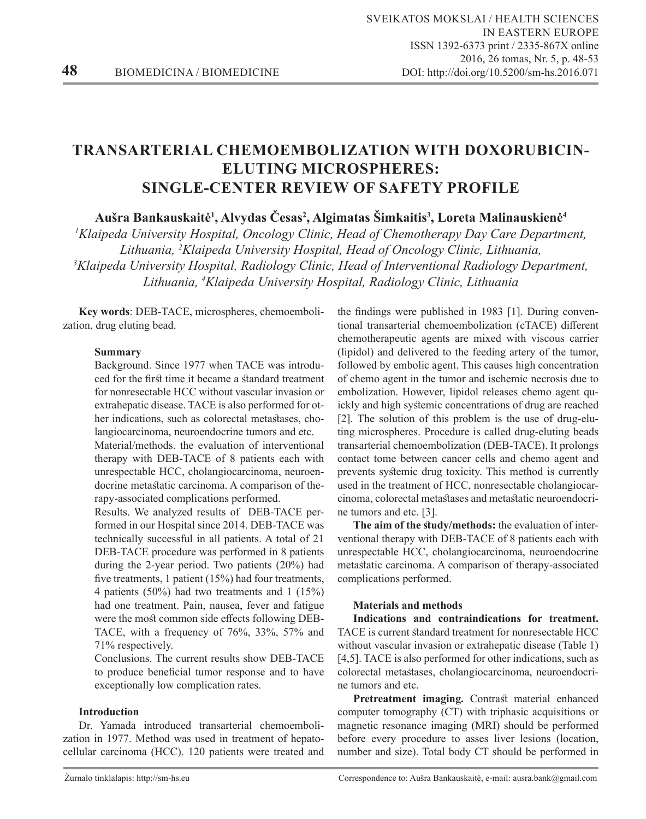# **TRANSARTERIAL CHEMOEMBOLIZATION WITH DOXORUBICIN-ELUTING MICROSPHERES: SINGLE-CENTER REVIEW OF SAFETY PROFILE**

**Aušra Bankauskaitė<sup>1</sup> , Alvydas Česas<sup>2</sup> , Algimatas Šimkaitis<sup>3</sup> , Loreta Malinauskienė4**

*1 Klaipeda University Hospital, Oncology Clinic, Head of Chemotherapy Day Care Department, Lithuania, <sup>2</sup> Klaipeda University Hospital, Head of Oncology Clinic, Lithuania, 3 Klaipeda University Hospital, Radiology Clinic, Head of Interventional Radiology Department, Lithuania, <sup>4</sup> Klaipeda University Hospital, Radiology Clinic, Lithuania*

**Key words**: DEB-TACE, microspheres, chemoembolization, drug eluting bead.

### **Summary**

Background. Since 1977 when TACE was introduced for the first time it became a standard treatment for nonresectable HCC without vascular invasion or extrahepatic disease. TACE is also performed for other indications, such as colorectal metastases, cholangiocarcinoma, neuroendocrine tumors and etc.

Material/methods. the evaluation of interventional therapy with DEB-TACE of 8 patients each with unrespectable HCC, cholangiocarcinoma, neuroendocrine metastatic carcinoma. A comparison of therapy-associated complications performed.

Results. We analyzed results of DEB-TACE performed in our Hospital since 2014. DEB-TACE was technically successful in all patients. A total of 21 DEB-TACE procedure was performed in 8 patients during the 2-year period. Two patients (20%) had five treatments, 1 patient (15%) had four treatments, 4 patients (50%) had two treatments and 1 (15%) had one treatment. Pain, nausea, fever and fatigue were the most common side effects following DEB-TACE, with a frequency of 76%, 33%, 57% and 71% respectively.

Conclusions. The current results show DEB-TACE to produce beneficial tumor response and to have exceptionally low complication rates.

## **Introduction**

Dr. Yamada introduced transarterial chemoembolization in 1977. Method was used in treatment of hepatocellular carcinoma (HCC). 120 patients were treated and

the findings were published in 1983 [1]. During conventional transarterial chemoembolization (cTACE) different chemotherapeutic agents are mixed with viscous carrier (lipidol) and delivered to the feeding artery of the tumor, followed by embolic agent. This causes high concentration of chemo agent in the tumor and ischemic necrosis due to embolization. However, lipidol releases chemo agent quickly and high systemic concentrations of drug are reached [2]. The solution of this problem is the use of drug-eluting microspheres. Procedure is called drug-eluting beads transarterial chemoembolization (DEB-TACE). It prolongs contact tome between cancer cells and chemo agent and prevents systemic drug toxicity. This method is currently used in the treatment of HCC, nonresectable cholangiocarcinoma, colorectal metastases and metastatic neuroendocrine tumors and etc. [3].

**The aim of the study/methods:** the evaluation of interventional therapy with DEB-TACE of 8 patients each with unrespectable HCC, cholangiocarcinoma, neuroendocrine metastatic carcinoma. A comparison of therapy-associated complications performed.

#### **Materials and methods**

**Indications and contraindications for treatment.**  TACE is current standard treatment for nonresectable HCC without vascular invasion or extrahepatic disease (Table 1) [4,5]. TACE is also performed for other indications, such as colorectal metastases, cholangiocarcinoma, neuroendocrine tumors and etc.

**Pretreatment imaging.** Contrast material enhanced computer tomography (CT) with triphasic acquisitions or magnetic resonance imaging (MRI) should be performed before every procedure to asses liver lesions (location, number and size). Total body CT should be performed in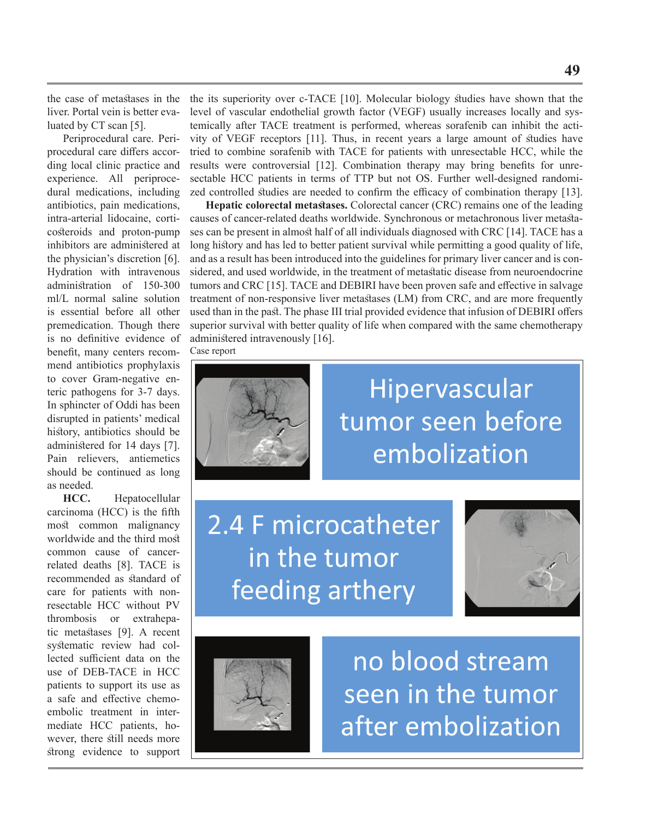the case of metastases in the liver. Portal vein is better evaluated by CT scan [5].

Periprocedural care. Periprocedural care differs according local clinic practice and experience. All periprocedural medications, including antibiotics, pain medications, intra-arterial lidocaine, corticosteroids and proton-pump inhibitors are administered at the physician's discretion [6]. Hydration with intravenous administration of 150-300 ml/L normal saline solution is essential before all other premedication. Though there is no definitive evidence of benefit, many centers recommend antibiotics prophylaxis to cover Gram-negative enteric pathogens for 3-7 days. In sphincter of Oddi has been disrupted in patients' medical history, antibiotics should be administered for 14 days [7]. Pain relievers, antiemetics should be continued as long as needed.

**HCC.** Hepatocellular carcinoma (HCC) is the fifth most common malignancy worldwide and the third most common cause of cancerrelated deaths [8]. TACE is recommended as standard of care for patients with nonresectable HCC without PV thrombosis or extrahepatic metastases [9]. A recent systematic review had collected sufficient data on the use of DEB-TACE in HCC patients to support its use as a safe and effective chemoembolic treatment in intermediate HCC patients, however, there still needs more strong evidence to support

the its superiority over c-TACE [10]. Molecular biology studies have shown that the level of vascular endothelial growth factor (VEGF) usually increases locally and systemically after TACE treatment is performed, whereas sorafenib can inhibit the activity of VEGF receptors [11]. Thus, in recent years a large amount of studies have tried to combine sorafenib with TACE for patients with unresectable HCC, while the results were controversial [12]. Combination therapy may bring benefits for unresectable HCC patients in terms of TTP but not OS. Further well-designed randomized controlled studies are needed to confirm the efficacy of combination therapy [13].

**Hepatic colorectal metastases.** Colorectal cancer (CRC) remains one of the leading causes of cancer-related deaths worldwide. Synchronous or metachronous liver metastases can be present in almost half of all individuals diagnosed with CRC [14]. TACE has a long history and has led to better patient survival while permitting a good quality of life, and as a result has been introduced into the guidelines for primary liver cancer and is considered, and used worldwide, in the treatment of metastatic disease from neuroendocrine tumors and CRC [15]. TACE and DEBIRI have been proven safe and effective in salvage treatment of non-responsive liver metastases (LM) from CRC, and are more frequently used than in the past. The phase III trial provided evidence that infusion of DEBIRI offers superior survival with better quality of life when compared with the same chemotherapy administered intravenously [16]. Case report

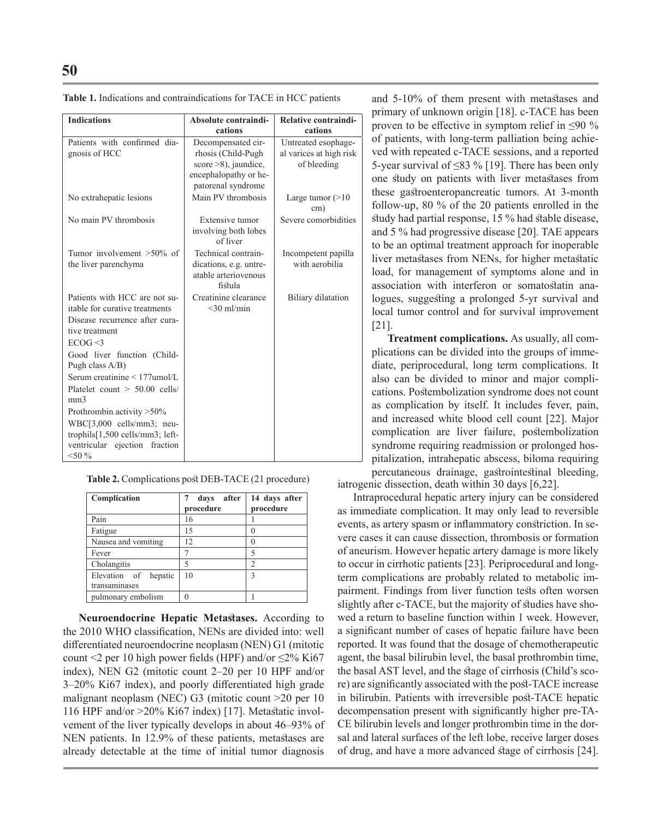| <b>Indications</b>                                              | Absolute contraindi-                                                             | Relative contraindi-                  |
|-----------------------------------------------------------------|----------------------------------------------------------------------------------|---------------------------------------|
|                                                                 | cations                                                                          | cations                               |
| Patients with confirmed dia-                                    | Decompensated cir-                                                               | Untreated esophage-                   |
| gnosis of HCC                                                   | rhosis (Child-Pugh                                                               | al varices at high risk               |
|                                                                 | score $>8$ ), jaundice,                                                          | of bleeding                           |
|                                                                 | encephalopathy or he-                                                            |                                       |
|                                                                 | patorenal syndrome                                                               |                                       |
| No extrahepatic lesions                                         | Main PV thrombosis                                                               | Large tumor $(>10$<br>$\text{cm}$ )   |
| No main PV thrombosis                                           | Extensive tumor<br>involving both lobes<br>of liver                              | Severe comorbidities                  |
| Tumor involvement $>50\%$ of<br>the liver parenchyma            | Technical contrain-<br>dications, e.g. untre-<br>atable arteriovenous<br>fistula | Incompetent papilla<br>with aerobilia |
| Patients with HCC are not su-<br>itable for curative treatments | Creatinine clearance<br>$<$ 30 ml/min                                            | Biliary dilatation                    |
| Disease recurrence after cura-<br>tive treatment                |                                                                                  |                                       |
| ECOG < 3                                                        |                                                                                  |                                       |
| Good liver function (Child-<br>Pugh class A/B)                  |                                                                                  |                                       |
| Serum creatinine $\leq 177$ umol/L                              |                                                                                  |                                       |
| Platelet count $> 50.00$ cells/                                 |                                                                                  |                                       |
| mm <sub>3</sub>                                                 |                                                                                  |                                       |
| Prothrombin activity > 50%                                      |                                                                                  |                                       |
| WBC[3,000 cells/mm3; neu-                                       |                                                                                  |                                       |
| trophils[1,500 cells/mm3; left-                                 |                                                                                  |                                       |
| ventricular ejection fraction                                   |                                                                                  |                                       |
| $<$ 50 %                                                        |                                                                                  |                                       |

**Table 1.** Indications and contraindications for TACE in HCC patients

**Table 2.** Complications post DEB-TACE (21 procedure) iatrogenic dissection, death within 30 days [6,22].

| Complication                          | after<br>davs<br>procedure | 14 days after<br>procedure |
|---------------------------------------|----------------------------|----------------------------|
| Pain                                  | 16                         |                            |
| Fatigue                               | 15                         |                            |
| Nausea and vomiting                   | 12                         | 0                          |
| Fever                                 |                            | 5                          |
| Cholangitis                           | 5                          | 2                          |
| Elevation of hepatic<br>transaminases | 10                         | $\mathbf{3}$               |
| pulmonary embolism                    |                            |                            |

**Neuroendocrine Hepatic Metastases.** According to the 2010 WHO classification, NENs are divided into: well differentiated neuroendocrine neoplasm (NEN) G1 (mitotic count <2 per 10 high power fields (HPF) and/or  $\leq$ 2% Ki67 index), NEN G2 (mitotic count 2–20 per 10 HPF and/or 3–20% Ki67 index), and poorly differentiated high grade malignant neoplasm (NEC) G3 (mitotic count >20 per 10 116 HPF and/or >20% Ki67 index) [17]. Metastatic involvement of the liver typically develops in about 46–93% of NEN patients. In 12.9% of these patients, metastases are already detectable at the time of initial tumor diagnosis

and 5-10% of them present with metastases and primary of unknown origin [18]. c-TACE has been proven to be effective in symptom relief in ≤90 % of patients, with long-term palliation being achieved with repeated c-TACE sessions, and a reported 5-year survival of ≤83 % [19]. There has been only one study on patients with liver metastases from these gastroenteropancreatic tumors. At 3-month follow-up, 80 % of the 20 patients enrolled in the study had partial response, 15 % had stable disease, and 5 % had progressive disease [20]. TAE appears to be an optimal treatment approach for inoperable liver metastases from NENs, for higher metastatic load, for management of symptoms alone and in association with interferon or somatostatin analogues, suggesting a prolonged 5-yr survival and local tumor control and for survival improvement [21].

**Treatment complications.** As usually, all complications can be divided into the groups of immediate, periprocedural, long term complications. It also can be divided to minor and major complications. Postembolization syndrome does not count as complication by itself. It includes fever, pain, and increased white blood cell count [22]. Major complication are liver failure, postembolization syndrome requiring readmission or prolonged hospitalization, intrahepatic abscess, biloma requiring percutaneous drainage, gastrointestinal bleeding,

Intraprocedural hepatic artery injury can be considered as immediate complication. It may only lead to reversible events, as artery spasm or inflammatory constriction. In severe cases it can cause dissection, thrombosis or formation of aneurism. However hepatic artery damage is more likely to occur in cirrhotic patients [23]. Periprocedural and longterm complications are probably related to metabolic impairment. Findings from liver function tests often worsen slightly after c-TACE, but the majority of studies have showed a return to baseline function within 1 week. However, a significant number of cases of hepatic failure have been reported. It was found that the dosage of chemotherapeutic agent, the basal bilirubin level, the basal prothrombin time, the basal AST level, and the stage of cirrhosis (Child's score) are significantly associated with the post-TACE increase in bilirubin. Patients with irreversible post-TACE hepatic decompensation present with significantly higher pre-TA-CE bilirubin levels and longer prothrombin time in the dorsal and lateral surfaces of the left lobe, receive larger doses of drug, and have a more advanced stage of cirrhosis [24].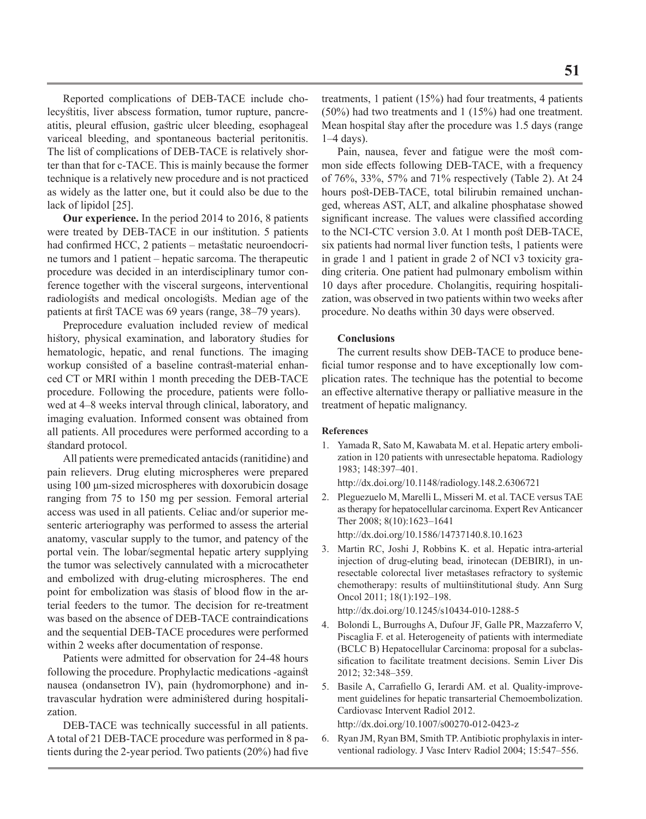Reported complications of DEB-TACE include cholecystitis, liver abscess formation, tumor rupture, pancreatitis, pleural effusion, gastric ulcer bleeding, esophageal variceal bleeding, and spontaneous bacterial peritonitis. The list of complications of DEB-TACE is relatively shorter than that for c-TACE. This is mainly because the former technique is a relatively new procedure and is not practiced as widely as the latter one, but it could also be due to the

lack of lipidol [25]. **Our experience.** In the period 2014 to 2016, 8 patients were treated by DEB-TACE in our institution. 5 patients had confirmed HCC, 2 patients – metastatic neuroendocrine tumors and 1 patient – hepatic sarcoma. The therapeutic procedure was decided in an interdisciplinary tumor conference together with the visceral surgeons, interventional radiologists and medical oncologists. Median age of the patients at first TACE was 69 years (range, 38–79 years).

Preprocedure evaluation included review of medical history, physical examination, and laboratory studies for hematologic, hepatic, and renal functions. The imaging workup consisted of a baseline contrast-material enhanced CT or MRI within 1 month preceding the DEB-TACE procedure. Following the procedure, patients were followed at 4–8 weeks interval through clinical, laboratory, and imaging evaluation. Informed consent was obtained from all patients. All procedures were performed according to a standard protocol.

All patients were premedicated antacids (ranitidine) and pain relievers. Drug eluting microspheres were prepared using 100 μm-sized microspheres with doxorubicin dosage ranging from 75 to 150 mg per session. Femoral arterial access was used in all patients. Celiac and/or superior mesenteric arteriography was performed to assess the arterial anatomy, vascular supply to the tumor, and patency of the portal vein. The lobar/segmental hepatic artery supplying the tumor was selectively cannulated with a microcatheter and embolized with drug-eluting microspheres. The end point for embolization was stasis of blood flow in the arterial feeders to the tumor. The decision for re-treatment was based on the absence of DEB-TACE contraindications and the sequential DEB-TACE procedures were performed within 2 weeks after documentation of response.

Patients were admitted for observation for 24-48 hours following the procedure. Prophylactic medications -against nausea (ondansetron IV), pain (hydromorphone) and intravascular hydration were administered during hospitalization.

DEB-TACE was technically successful in all patients. A total of 21 DEB-TACE procedure was performed in 8 patients during the 2-year period. Two patients (20%) had five treatments, 1 patient (15%) had four treatments, 4 patients (50%) had two treatments and 1 (15%) had one treatment. Mean hospital stay after the procedure was 1.5 days (range 1–4 days).

Pain, nausea, fever and fatigue were the most common side effects following DEB-TACE, with a frequency of 76%, 33%, 57% and 71% respectively (Table 2). At 24 hours post-DEB-TACE, total bilirubin remained unchanged, whereas AST, ALT, and alkaline phosphatase showed significant increase. The values were classified according to the NCI-CTC version 3.0. At 1 month post DEB-TACE, six patients had normal liver function tests, 1 patients were in grade 1 and 1 patient in grade 2 of NCI v3 toxicity grading criteria. One patient had pulmonary embolism within 10 days after procedure. Cholangitis, requiring hospitalization, was observed in two patients within two weeks after procedure. No deaths within 30 days were observed.

#### **Conclusions**

The current results show DEB-TACE to produce beneficial tumor response and to have exceptionally low complication rates. The technique has the potential to become an effective alternative therapy or palliative measure in the treatment of hepatic malignancy.

#### **References**

1. Yamada R, Sato M, Kawabata M. et al. Hepatic artery embolization in 120 patients with unresectable hepatoma. Radiology 1983; 148:397–401.

http://dx.doi.org/10.1148/radiology.148.2.6306721

2. Pleguezuelo M, Marelli L, Misseri M. et al. TACE versus TAE as therapy for hepatocellular carcinoma. Expert Rev Anticancer Ther 2008; 8(10):1623–1641

http://dx.doi.org/10.1586/14737140.8.10.1623

3. Martin RC, Joshi J, Robbins K. et al. Hepatic intra-arterial injection of drug-eluting bead, irinotecan (DEBIRI), in unresectable colorectal liver metastases refractory to systemic chemotherapy: results of multiinstitutional study. Ann Surg Oncol 2011; 18(1):192–198.

http://dx.doi.org/10.1245/s10434-010-1288-5

- 4. Bolondi L, Burroughs A, Dufour JF, Galle PR, Mazzaferro V, Piscaglia F. et al. Heterogeneity of patients with intermediate (BCLC B) Hepatocellular Carcinoma: proposal for a subclassification to facilitate treatment decisions. Semin Liver Dis 2012; 32:348–359.
- 5. Basile A, Carrafiello G, Ierardi AM. et al. Quality-improvement guidelines for hepatic transarterial Chemoembolization. Cardiovasc Intervent Radiol 2012.

http://dx.doi.org/10.1007/s00270-012-0423-z

6. Ryan JM, Ryan BM, Smith TP. Antibiotic prophylaxis in interventional radiology. J Vasc Interv Radiol 2004; 15:547–556.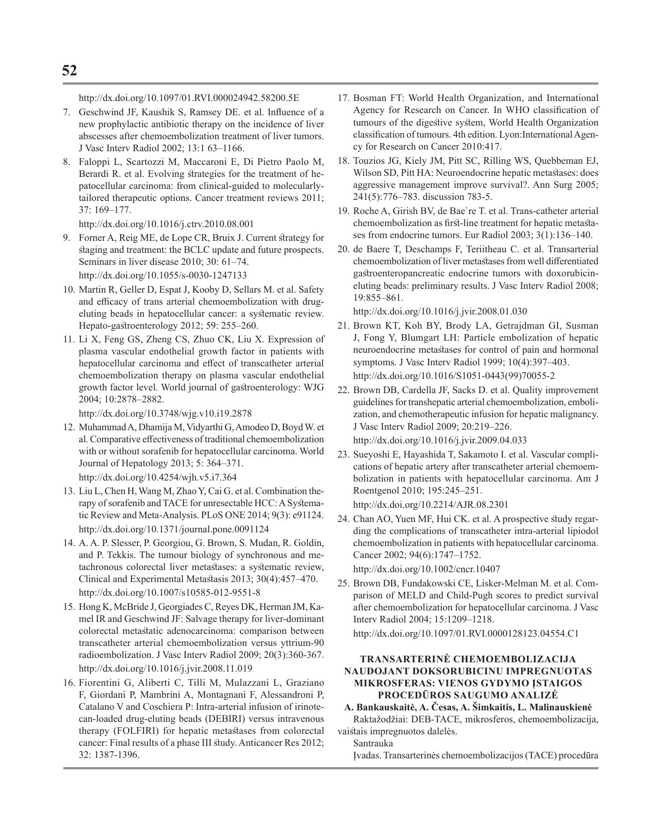http://dx.doi.org/10.1097/01.RVI.000024942.58200.5E

- 7. Geschwind JF, Kaushik S, Ramsey DE. et al. Influence of a new prophylactic antibiotic therapy on the incidence of liver abscesses after chemoembolization treatment of liver tumors. J Vasc Interv Radiol 2002; 13:1 63–1166.
- 8. Faloppi L, Scartozzi M, Maccaroni E, Di Pietro Paolo M, Berardi R. et al. Evolving strategies for the treatment of hepatocellular carcinoma: from clinical-guided to molecularlytailored therapeutic options. Cancer treatment reviews 2011; 37: 169–177.

http://dx.doi.org/10.1016/j.ctrv.2010.08.001

- 9. Forner A, Reig ME, de Lope CR, Bruix J. Current strategy for staging and treatment: the BCLC update and future prospects. Seminars in liver disease 2010; 30: 61–74. http://dx.doi.org/10.1055/s-0030-1247133
- 10. Martin R, Geller D, Espat J, Kooby D, Sellars M. et al. Safety and efficacy of trans arterial chemoembolization with drugeluting beads in hepatocellular cancer: a systematic review. Hepato-gastroenterology 2012; 59: 255–260.
- 11. Li X, Feng GS, Zheng CS, Zhuo CK, Liu X. Expression of plasma vascular endothelial growth factor in patients with hepatocellular carcinoma and effect of transcatheter arterial chemoembolization therapy on plasma vascular endothelial growth factor level. World journal of gastroenterology: WJG 2004; 10:2878–2882.

http://dx.doi.org/10.3748/wjg.v10.i19.2878

- 12. Muhammad A, Dhamija M, Vidyarthi G, Amodeo D, Boyd W. et al. Comparative effectiveness of traditional chemoembolization with or without sorafenib for hepatocellular carcinoma. World Journal of Hepatology 2013; 5: 364–371. http://dx.doi.org/10.4254/wjh.v5.i7.364
- 13. Liu L, Chen H, Wang M, Zhao Y, Cai G. et al. Combination therapy of sorafenib and TACE for unresectable HCC: A Systematic Review and Meta-Analysis. PLoS ONE 2014; 9(3): e91124. http://dx.doi.org/10.1371/journal.pone.0091124
- 14. A. A. P. Slesser, P. Georgiou, G. Brown, S. Mudan, R. Goldin, and P. Tekkis. The tumour biology of synchronous and metachronous colorectal liver metastases: a systematic review, Clinical and Experimental Metastasis 2013; 30(4):457–470. http://dx.doi.org/10.1007/s10585-012-9551-8
- 15. Hong K, McBride J, Georgiades C, Reyes DK, Herman JM, Kamel IR and Geschwind JF: Salvage therapy for liver-dominant colorectal metastatic adenocarcinoma: comparison between transcatheter arterial chemoembolization versus yttrium-90 radioembolization. J Vasc Interv Radiol 2009; 20(3):360-367. http://dx.doi.org/10.1016/j.jvir.2008.11.019
- 16. Fiorentini G, Aliberti C, Tilli M, Mulazzani L, Graziano F, Giordani P, Mambrini A, Montagnani F, Alessandroni P, Catalano V and Coschiera P: Intra-arterial infusion of irinotecan-loaded drug-eluting beads (DEBIRI) versus intravenous therapy (FOLFIRI) for hepatic metastases from colorectal cancer: Final results of a phase III study. Anticancer Res 2012; 32: 1387-1396.
- 17. Bosman FT: World Health Organization, and International Agency for Research on Cancer. In WHO classification of tumours of the digestive system, World Health Organization classification of tumours. 4th edition. Lyon:International Agency for Research on Cancer 2010:417.
- 18. Touzios JG, Kiely JM, Pitt SC, Rilling WS, Quebbeman EJ, Wilson SD, Pitt HA: Neuroendocrine hepatic metastases: does aggressive management improve survival?. Ann Surg 2005; 241(5):776–783. discussion 783-5.
- 19. Roche A, Girish BV, de Bae`re T. et al. Trans-catheter arterial chemoembolization as first-line treatment for hepatic metastases from endocrine tumors. Eur Radiol 2003; 3(1):136–140.
- 20. de Baere T, Deschamps F, Teriitheau C. et al. Transarterial chemoembolization of liver metastases from well differentiated gastroenteropancreatic endocrine tumors with doxorubicineluting beads: preliminary results. J Vasc Interv Radiol 2008; 19:855–861.

http://dx.doi.org/10.1016/j.jvir.2008.01.030

- 21. Brown KT, Koh BY, Brody LA, Getrajdman GI, Susman J, Fong Y, Blumgart LH: Particle embolization of hepatic neuroendocrine metastases for control of pain and hormonal symptoms. J Vasc Interv Radiol 1999; 10(4):397–403. http://dx.doi.org/10.1016/S1051-0443(99)70055-2
- 22. Brown DB, Cardella JF, Sacks D. et al. Quality improvement guidelines for transhepatic arterial chemoembolization, embolization, and chemotherapeutic infusion for hepatic malignancy. J Vasc Interv Radiol 2009; 20:219–226.
	- http://dx.doi.org/10.1016/j.jvir.2009.04.033
- 23. Sueyoshi E, Hayashida T, Sakamoto I. et al. Vascular complications of hepatic artery after transcatheter arterial chemoembolization in patients with hepatocellular carcinoma. Am J Roentgenol 2010; 195:245–251.

http://dx.doi.org/10.2214/AJR.08.2301

24. Chan AO, Yuen MF, Hui CK. et al. A prospective study regarding the complications of transcatheter intra-arterial lipiodol chemoembolization in patients with hepatocellular carcinoma. Cancer 2002; 94(6):1747–1752.

http://dx.doi.org/10.1002/cncr.10407

25. Brown DB, Fundakowski CE, Lisker-Melman M. et al. Comparison of MELD and Child-Pugh scores to predict survival after chemoembolization for hepatocellular carcinoma. J Vasc Interv Radiol 2004; 15:1209–1218. http://dx.doi.org/10.1097/01.RVI.0000128123.04554.C1

## **TRANSARTERINĖ CHEMOEMBOLIZACIJA NAUDOJANT DOKSORUBICINU IMPREGNUOTAS MIKROSFERAS: VIENOS GYDYMO ĮSTAIGOS PROCEDŪROS SAUGUMO ANALIZĖ**

**A. Bankauskaitė, A. Česas, A. Šimkaitis, L. Malinauskienė** Raktažodžiai: DEB-TACE, mikrosferos, chemoembolizacija,

vaistais impregnuotos dalelės. Santrauka

Įvadas. Transarterinės chemoembolizacijos (TACE) procedūra